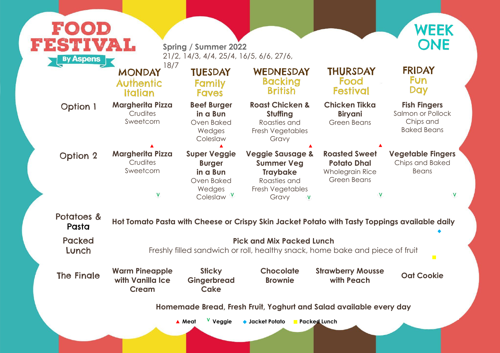#### **Fish Fingers**

Salmon or Pollock Chips and Baked Beans

#### **Strawberry Mousse Oat Cookie**

**very day** 

#### **Vegetable Fingers**

Chips and Baked Beans

 $\mathbf V$ 

V

#### pings available daily

 $\overline{\phantom{a}}$ 

ece of fruit

| FOOD                                                          |                                                                                                       |                                                                                                          |                                                                                                                  |                                                                                            |  |  |
|---------------------------------------------------------------|-------------------------------------------------------------------------------------------------------|----------------------------------------------------------------------------------------------------------|------------------------------------------------------------------------------------------------------------------|--------------------------------------------------------------------------------------------|--|--|
| FESTIVAL<br><b>By Aspens</b>                                  |                                                                                                       | <b>Spring / Summer 2022</b><br>21/2, 14/3, 4/4, 25/4, 16/5, 6/6, 27/6,                                   |                                                                                                                  |                                                                                            |  |  |
|                                                               | 18/7<br><b>MONDAY</b><br><b>Authentic</b><br><b>Italian</b>                                           | <b>TUESDAY</b><br>Family<br><b>Faves</b>                                                                 | WEDNESDAY<br><b>Backing</b><br><b>British</b>                                                                    | <b>THURSDAY</b><br>Food<br><b>Festival</b>                                                 |  |  |
| <b>Option 1</b>                                               | <b>Margherita Pizza</b><br>Crudites<br>Sweetcorn                                                      | <b>Beef Burger</b><br>in a Bun<br>Oven Baked<br>Wedges<br>Coleslaw                                       | <b>Roast Chicken &amp;</b><br>Stuffing<br>Roasties and<br>Fresh Vegetables<br>Gravy                              | <b>Chicken Tikka</b><br><b>Biryani</b><br><b>Green Beans</b>                               |  |  |
| <b>Option 2</b>                                               | <b>Margherita Pizza</b><br>Crudites<br>Sweetcorn<br>$\overline{\mathsf{V}}$                           | <b>Super Veggie</b><br><b>Burger</b><br>in a Bun<br><b>Oven Baked</b><br>Wedges<br>Coleslaw <sup>V</sup> | <b>Veggie Sausage &amp;</b><br><b>Summer Veg</b><br><b>Traybake</b><br>Roasties and<br>Fresh Vegetables<br>Gravy | <b>Roasted Sweet</b><br><b>Potato Dhal</b><br><b>Wholegrain Rice</b><br><b>Green Beans</b> |  |  |
| Potatoes &<br>Pasta                                           |                                                                                                       |                                                                                                          | Hot Tomato Pasta with Cheese or Crispy Skin Jacket Potato with Tasty Topp                                        |                                                                                            |  |  |
| <b>Packed</b><br>Lunch                                        | <b>Pick and Mix Packed Lunch</b><br>Freshly filled sandwich or roll, healthy snack, home bake and pie |                                                                                                          |                                                                                                                  |                                                                                            |  |  |
| <b>The Finale</b>                                             | <b>Warm Pineapple</b><br>with Vanilla Ice<br><b>Cream</b>                                             | <b>Sticky</b><br>Gingerbread<br><b>Cake</b>                                                              | <b>Chocolate</b><br><b>Brownie</b>                                                                               | <b>Strawberry Mousse</b><br>with Peach                                                     |  |  |
| Homemade Bread, Fresh Fruit, Yoghurt and Salad available ever |                                                                                                       |                                                                                                          |                                                                                                                  |                                                                                            |  |  |
|                                                               |                                                                                                       | V Veggie<br>▲ Meat                                                                                       | $\bullet$ Jacket Potato<br><b>Packed Lunch</b>                                                                   |                                                                                            |  |  |



#### **FRIDAY** Fun Day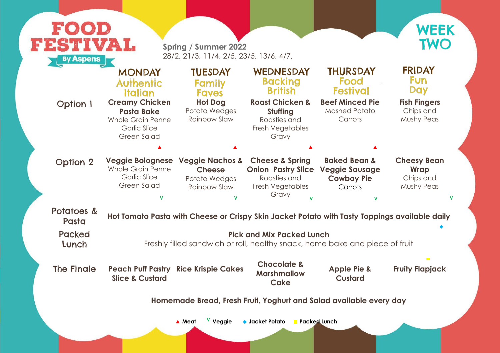

| <b>By Aspens</b>    | <b>FESTIVAL</b>                                                                                                     | <b>Spring / Summer 2022</b><br>28/2, 21/3, 11/4, 2/5, 23/5, 13/6, 4/7,                       |                                                                                                                      |                                                                                                  |                                                              |
|---------------------|---------------------------------------------------------------------------------------------------------------------|----------------------------------------------------------------------------------------------|----------------------------------------------------------------------------------------------------------------------|--------------------------------------------------------------------------------------------------|--------------------------------------------------------------|
|                     | <b>MONDAY</b><br><b>Authentic</b><br>Italian                                                                        | <b>TUESDAY</b><br>Family<br><b>Faves</b>                                                     | WEDNESDAY<br><b>Backing</b><br><b>British</b>                                                                        | <b>THURSDAY</b><br>Food<br><b>Festival</b>                                                       | <b>FRIDAY</b><br><b>Fun</b><br><b>Day</b>                    |
| <b>Option 1</b>     | <b>Creamy Chicken</b><br><b>Pasta Bake</b><br><b>Whole Grain Penne</b><br><b>Garlic Slice</b><br><b>Green Salad</b> | <b>Hot Dog</b><br>Potato Wedges<br>Rainbow Slaw                                              | <b>Roast Chicken &amp;</b><br>Stuffing<br>Roasties and<br>Fresh Vegetables<br>Gravy                                  | <b>Beef Minced Pie</b><br><b>Mashed Potato</b><br>Carrots                                        | <b>Fish Fingers</b><br>Chips and<br><b>Mushy Peas</b>        |
|                     |                                                                                                                     |                                                                                              |                                                                                                                      |                                                                                                  |                                                              |
| <b>Option 2</b>     | <b>Veggie Bolognese</b><br><b>Whole Grain Penne</b><br><b>Garlic Slice</b><br><b>Green Salad</b><br>$\mathbf{V}$    | <b>Veggie Nachos &amp;</b><br><b>Cheese</b><br>Potato Wedges<br>Rainbow Slaw<br>$\mathbf{v}$ | <b>Cheese &amp; Spring</b><br><b>Onion Pastry Slice</b><br>Roasties and<br>Fresh Vegetables<br>Gravy<br>$\mathbf{M}$ | <b>Baked Bean &amp;</b><br><b>Veggie Sausage</b><br><b>Cowboy Pie</b><br>Carrots<br>$\mathbf{V}$ | <b>Cheesy Bean</b><br>Wrap<br>Chips and<br><b>Mushy Peas</b> |
| Potatoes &<br>Pasta |                                                                                                                     |                                                                                              | Hot Tomato Pasta with Cheese or Crispy Skin Jacket Potato with Tasty Toppings available daily                        |                                                                                                  |                                                              |
| Packed<br>Lunch     |                                                                                                                     |                                                                                              | <b>Pick and Mix Packed Lunch</b><br>Freshly filled sandwich or roll, healthy snack, home bake and piece of fruit     |                                                                                                  |                                                              |
| <b>The Fingle</b>   | <b>Peach Puff Pastry Rice Krispie Cakes</b><br><b>Slice &amp; Custard</b>                                           |                                                                                              | <b>Chocolate &amp;</b><br><b>Marshmallow</b><br><b>Cake</b>                                                          | <b>Apple Pie &amp;</b><br><b>Custard</b>                                                         | $\mathcal{L}^{\text{max}}$<br><b>Fruity Flapjack</b>         |
|                     |                                                                                                                     |                                                                                              |                                                                                                                      | Homemade Bread, Fresh Fruit, Yoghurt and Salad available every day                               |                                                              |

#### **Home**

# Pasta **Hot Tomato Pasta with Cheese or Crispy Skin Jacket Potato with Tasty Toppings available daily**

## **Fruity Flapjack**